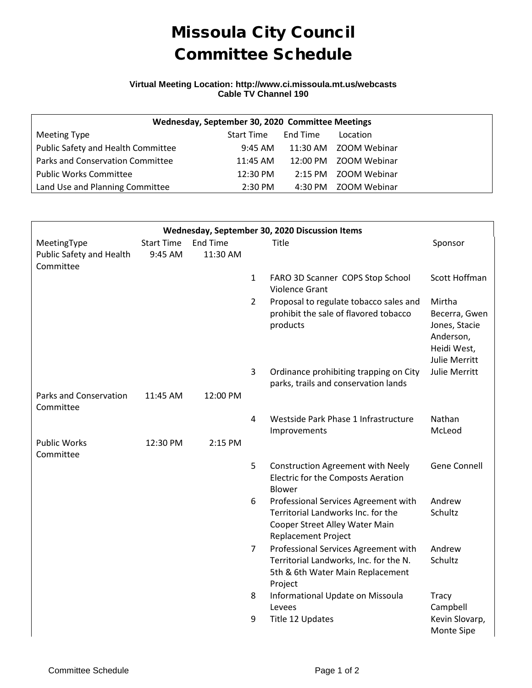## Missoula City Council Committee Schedule

## **Virtual Meeting Location: http://www.ci.missoula.mt.us/webcasts Cable TV Channel 190**

| Wednesday, September 30, 2020 Committee Meetings |                   |          |                       |  |  |  |  |  |  |
|--------------------------------------------------|-------------------|----------|-----------------------|--|--|--|--|--|--|
| Meeting Type                                     | <b>Start Time</b> | End Time | Location              |  |  |  |  |  |  |
| Public Safety and Health Committee               | 9:45 AM           |          | 11:30 AM ZOOM Webinar |  |  |  |  |  |  |
| Parks and Conservation Committee                 | 11:45 AM          |          | 12:00 PM ZOOM Webinar |  |  |  |  |  |  |
| <b>Public Works Committee</b>                    | 12:30 PM          |          | 2:15 PM ZOOM Webinar  |  |  |  |  |  |  |
| Land Use and Planning Committee                  | $2:30$ PM         |          | 4:30 PM ZOOM Webinar  |  |  |  |  |  |  |

| Wednesday, September 30, 2020 Discussion Items |                              |                             |                |                                                                                                                                            |                                                                                       |  |  |  |  |  |
|------------------------------------------------|------------------------------|-----------------------------|----------------|--------------------------------------------------------------------------------------------------------------------------------------------|---------------------------------------------------------------------------------------|--|--|--|--|--|
| MeetingType<br>Public Safety and Health        | <b>Start Time</b><br>9:45 AM | <b>End Time</b><br>11:30 AM |                | Title                                                                                                                                      | Sponsor                                                                               |  |  |  |  |  |
| Committee                                      |                              |                             |                |                                                                                                                                            |                                                                                       |  |  |  |  |  |
|                                                |                              |                             | $\mathbf{1}$   | FARO 3D Scanner COPS Stop School<br>Violence Grant                                                                                         | Scott Hoffman                                                                         |  |  |  |  |  |
|                                                |                              |                             | $\overline{2}$ | Proposal to regulate tobacco sales and<br>prohibit the sale of flavored tobacco<br>products                                                | Mirtha<br>Becerra, Gwen<br>Jones, Stacie<br>Anderson,<br>Heidi West,<br>Julie Merritt |  |  |  |  |  |
|                                                |                              |                             | 3              | Ordinance prohibiting trapping on City<br>parks, trails and conservation lands                                                             | Julie Merritt                                                                         |  |  |  |  |  |
| <b>Parks and Conservation</b><br>Committee     | 11:45 AM                     | 12:00 PM                    |                |                                                                                                                                            |                                                                                       |  |  |  |  |  |
|                                                |                              |                             | 4              | Westside Park Phase 1 Infrastructure<br>Improvements                                                                                       | Nathan<br>McLeod                                                                      |  |  |  |  |  |
| <b>Public Works</b><br>Committee               | 12:30 PM                     | 2:15 PM                     |                |                                                                                                                                            |                                                                                       |  |  |  |  |  |
|                                                |                              |                             | 5              | <b>Construction Agreement with Neely</b><br>Electric for the Composts Aeration<br><b>Blower</b>                                            | <b>Gene Connell</b>                                                                   |  |  |  |  |  |
|                                                |                              |                             | 6              | Professional Services Agreement with<br>Territorial Landworks Inc. for the<br>Cooper Street Alley Water Main<br><b>Replacement Project</b> | Andrew<br>Schultz                                                                     |  |  |  |  |  |
|                                                |                              |                             | $\overline{7}$ | Professional Services Agreement with<br>Territorial Landworks, Inc. for the N.<br>5th & 6th Water Main Replacement<br>Project              | Andrew<br>Schultz                                                                     |  |  |  |  |  |
|                                                |                              |                             | 8              | Informational Update on Missoula<br>Levees                                                                                                 | Tracy<br>Campbell                                                                     |  |  |  |  |  |
|                                                |                              |                             | 9              | Title 12 Updates                                                                                                                           | Kevin Slovarp,<br>Monte Sipe                                                          |  |  |  |  |  |